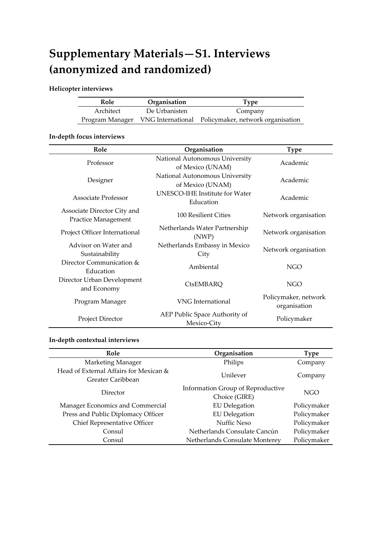# **Supplementary Materials—S1. Interviews (anonymized and randomized)**

### **Helicopter interviews**

| Role |           | Organisation  | Type                                                                |  |
|------|-----------|---------------|---------------------------------------------------------------------|--|
|      | Architect | De Urbanisten | Company                                                             |  |
|      |           |               | Program Manager VNG International Policymaker, network organisation |  |

## **In-depth focus interviews**

| Role                                               | Organisation                                       | <b>Type</b>                          |
|----------------------------------------------------|----------------------------------------------------|--------------------------------------|
| Professor                                          | National Autonomous University<br>of Mexico (UNAM) | Academic                             |
| Designer                                           | National Autonomous University<br>of Mexico (UNAM) | Academic                             |
| Associate Professor                                | <b>UNESCO-IHE Institute for Water</b><br>Education | Academic                             |
| Associate Director City and<br>Practice Management | 100 Resilient Cities                               | Network organisation                 |
| Project Officer International                      | Netherlands Water Partnership<br>(NWP)             | Network organisation                 |
| Advisor on Water and<br>Sustainability             | Netherlands Embassy in Mexico<br>City              | Network organisation                 |
| Director Communication &<br>Education              | Ambiental                                          | NGO                                  |
| Director Urban Development<br>and Economy          | CtsEMBARQ                                          | <b>NGO</b>                           |
| Program Manager                                    | <b>VNG</b> International                           | Policymaker, network<br>organisation |
| Project Director                                   | AEP Public Space Authority of<br>Mexico-City       | Policymaker                          |

#### **In-depth contextual interviews**

| Role                                   | Organisation                      | <b>Type</b> |  |
|----------------------------------------|-----------------------------------|-------------|--|
| Marketing Manager                      | Philips                           | Company     |  |
| Head of External Affairs for Mexican & | Unilever                          |             |  |
| Greater Caribbean                      |                                   | Company     |  |
| Director                               | Information Group of Reproductive | NGO         |  |
|                                        | Choice (GIRE)                     |             |  |
| Manager Economics and Commercial       | <b>EU</b> Delegation              | Policymaker |  |
| Press and Public Diplomacy Officer     | <b>EU</b> Delegation              | Policymaker |  |
| Chief Representative Officer           | Nuffic Neso                       | Policymaker |  |
| Consul                                 | Netherlands Consulate Cancún      | Policymaker |  |
| Consul                                 | Netherlands Consulate Monterey    | Policymaker |  |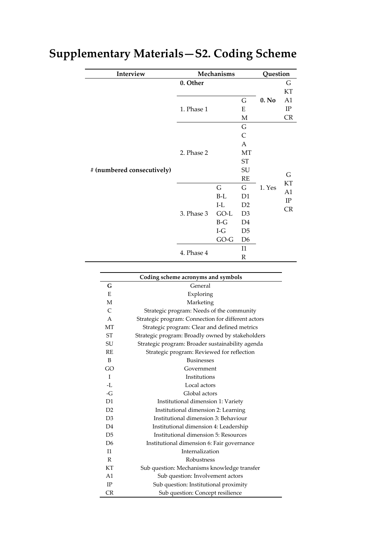| Interview                  |            | Mechanisms |                | Question |          |
|----------------------------|------------|------------|----------------|----------|----------|
|                            | 0. Other   |            |                |          | G        |
|                            |            |            |                | 0. No    | KT       |
|                            |            |            | G              |          | A1       |
|                            | 1. Phase 1 |            | E              |          | $\rm IP$ |
|                            |            |            | $\mathbf M$    |          | CR       |
|                            |            |            | G              |          |          |
|                            |            |            | C              |          |          |
|                            |            |            | A              |          |          |
|                            | 2. Phase 2 |            | MT             |          |          |
|                            |            |            | ${\rm ST}$     |          |          |
| # (numbered consecutively) |            |            | SU             |          |          |
|                            |            |            | RE             | 1. Yes   | G<br>KT  |
|                            | 3. Phase 3 | G          | G              |          | A1       |
|                            |            | $B-L$      | D <sub>1</sub> |          | $\rm IP$ |
|                            |            | $I-L$      | D <sub>2</sub> |          | CR       |
|                            |            | $GO-L$     | D <sub>3</sub> |          |          |
|                            |            | $B-G$      | D4             |          |          |
|                            |            | $I-G$      | D <sub>5</sub> |          |          |
|                            |            | $GO-G$     | D <sub>6</sub> |          |          |
|                            |            |            | I1             |          |          |
|                            | 4. Phase 4 |            | $\mathbb R$    |          |          |

# **Supplementary Materials—S2. Coding Scheme**

| Coding scheme acronyms and symbols |                                                    |  |  |
|------------------------------------|----------------------------------------------------|--|--|
| G                                  | General                                            |  |  |
| E                                  | Exploring                                          |  |  |
| М                                  | Marketing                                          |  |  |
| $\mathsf{C}$                       | Strategic program: Needs of the community          |  |  |
| A                                  | Strategic program: Connection for different actors |  |  |
| <b>MT</b>                          | Strategic program: Clear and defined metrics       |  |  |
| ST                                 | Strategic program: Broadly owned by stakeholders   |  |  |
| SU                                 | Strategic program: Broader sustainability agenda   |  |  |
| RE                                 | Strategic program: Reviewed for reflection         |  |  |
| B                                  | <b>Businesses</b>                                  |  |  |
| GO                                 | Government                                         |  |  |
| $\mathbf{I}$                       | Institutions                                       |  |  |
| $-L$                               | Local actors                                       |  |  |
| $-G$                               | Global actors                                      |  |  |
| D1                                 | Institutional dimension 1: Variety                 |  |  |
| D <sub>2</sub>                     | Institutional dimension 2: Learning                |  |  |
| D <sub>3</sub>                     | Institutional dimension 3: Behaviour               |  |  |
| D <sub>4</sub>                     | Institutional dimension 4: Leadership              |  |  |
| D <sub>5</sub>                     | Institutional dimension 5: Resources               |  |  |
| D <sub>6</sub>                     | Institutional dimension 6: Fair governance         |  |  |
| I <sub>1</sub>                     | Internalization                                    |  |  |
| R                                  | <b>Robustness</b>                                  |  |  |
| KT                                 | Sub question: Mechanisms knowledge transfer        |  |  |
| A1                                 | Sub question: Involvement actors                   |  |  |
| IP                                 | Sub question: Institutional proximity              |  |  |
| CR                                 | Sub question: Concept resilience                   |  |  |